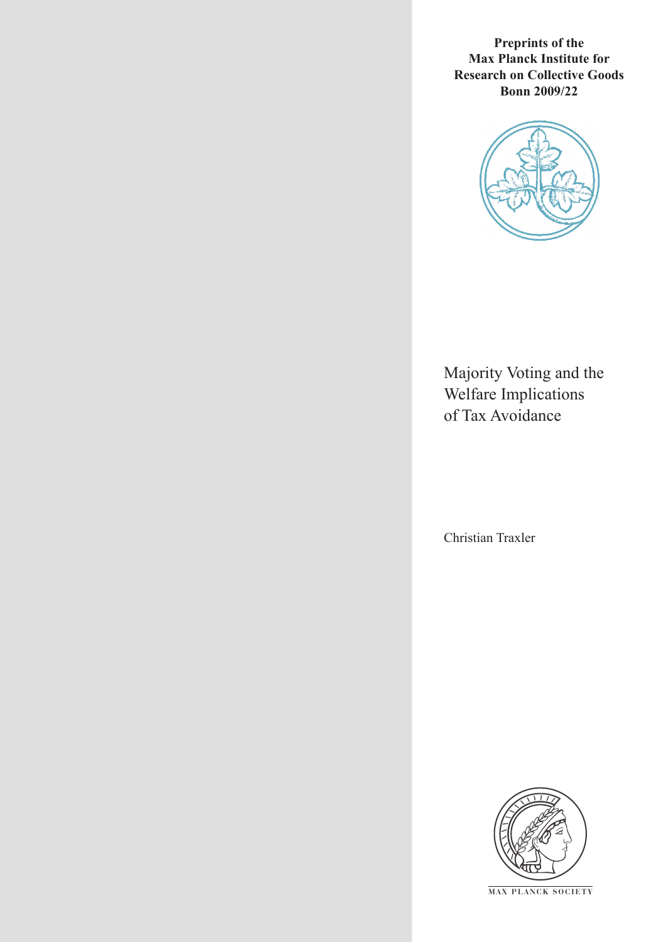**Preprints of the Max Planck Institute for Research on Collective Goods Bonn 2009/22**



Majority Voting and the Welfare Implications of Tax Avoidance

Christian Traxler



**M AX P L A N C K S O C I E T Y**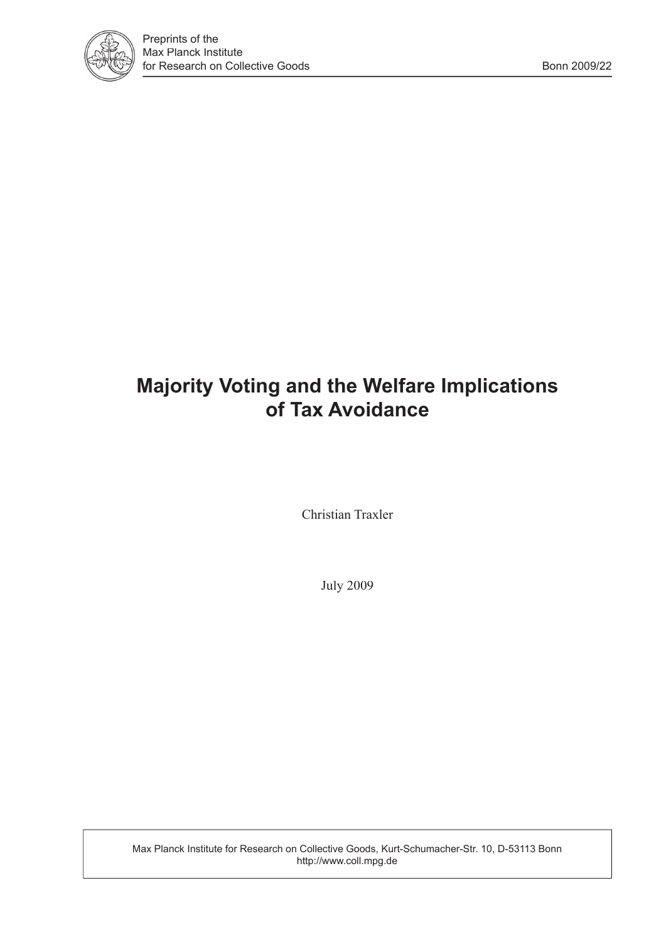

## **Majority Voting and the Welfare Implications of Tax Avoidance**

Christian Traxler

July 2009

Max Planck Institute for Research on Collective Goods, Kurt-Schumacher-Str. 10, D-53113 Bonn http://www.coll.mpg.de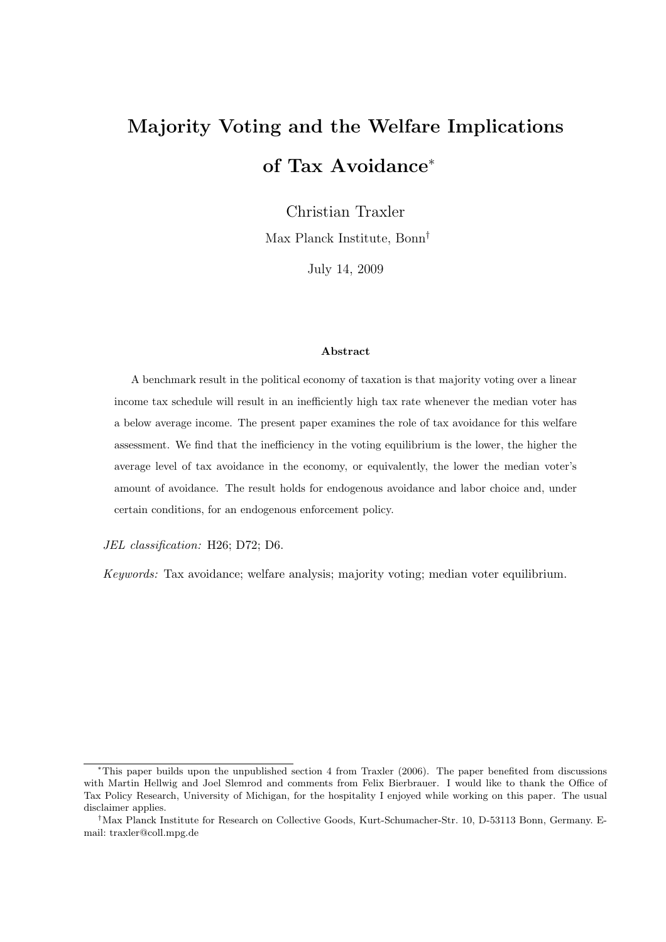# Majority Voting and the Welfare Implications of Tax Avoidance<sup>∗</sup>

Christian Traxler Max Planck Institute, Bonn†

July 14, 2009

#### Abstract

A benchmark result in the political economy of taxation is that majority voting over a linear income tax schedule will result in an inefficiently high tax rate whenever the median voter has a below average income. The present paper examines the role of tax avoidance for this welfare assessment. We find that the inefficiency in the voting equilibrium is the lower, the higher the average level of tax avoidance in the economy, or equivalently, the lower the median voter's amount of avoidance. The result holds for endogenous avoidance and labor choice and, under certain conditions, for an endogenous enforcement policy.

JEL classification: H26; D72; D6.

Keywords: Tax avoidance; welfare analysis; majority voting; median voter equilibrium.

<sup>∗</sup>This paper builds upon the unpublished section 4 from Traxler (2006). The paper benefited from discussions with Martin Hellwig and Joel Slemrod and comments from Felix Bierbrauer. I would like to thank the Office of Tax Policy Research, University of Michigan, for the hospitality I enjoyed while working on this paper. The usual disclaimer applies.

<sup>†</sup>Max Planck Institute for Research on Collective Goods, Kurt-Schumacher-Str. 10, D-53113 Bonn, Germany. Email: traxler@coll.mpg.de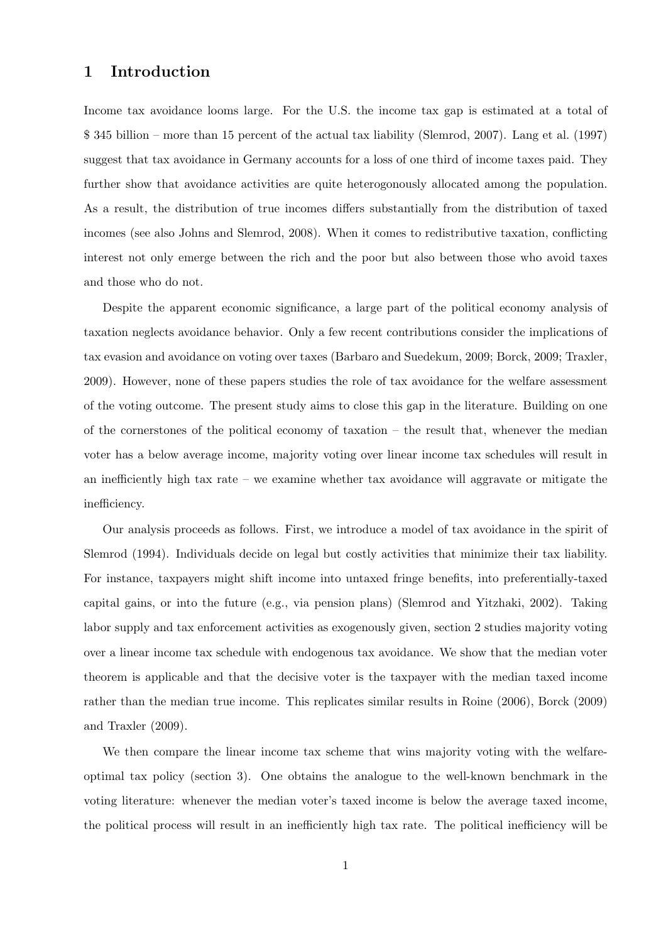## 1 Introduction

Income tax avoidance looms large. For the U.S. the income tax gap is estimated at a total of \$ 345 billion – more than 15 percent of the actual tax liability (Slemrod, 2007). Lang et al. (1997) suggest that tax avoidance in Germany accounts for a loss of one third of income taxes paid. They further show that avoidance activities are quite heterogonously allocated among the population. As a result, the distribution of true incomes differs substantially from the distribution of taxed incomes (see also Johns and Slemrod, 2008). When it comes to redistributive taxation, conflicting interest not only emerge between the rich and the poor but also between those who avoid taxes and those who do not.

Despite the apparent economic significance, a large part of the political economy analysis of taxation neglects avoidance behavior. Only a few recent contributions consider the implications of tax evasion and avoidance on voting over taxes (Barbaro and Suedekum, 2009; Borck, 2009; Traxler, 2009). However, none of these papers studies the role of tax avoidance for the welfare assessment of the voting outcome. The present study aims to close this gap in the literature. Building on one of the cornerstones of the political economy of taxation – the result that, whenever the median voter has a below average income, majority voting over linear income tax schedules will result in an inefficiently high tax rate – we examine whether tax avoidance will aggravate or mitigate the inefficiency.

Our analysis proceeds as follows. First, we introduce a model of tax avoidance in the spirit of Slemrod (1994). Individuals decide on legal but costly activities that minimize their tax liability. For instance, taxpayers might shift income into untaxed fringe benefits, into preferentially-taxed capital gains, or into the future (e.g., via pension plans) (Slemrod and Yitzhaki, 2002). Taking labor supply and tax enforcement activities as exogenously given, section 2 studies majority voting over a linear income tax schedule with endogenous tax avoidance. We show that the median voter theorem is applicable and that the decisive voter is the taxpayer with the median taxed income rather than the median true income. This replicates similar results in Roine (2006), Borck (2009) and Traxler (2009).

We then compare the linear income tax scheme that wins majority voting with the welfareoptimal tax policy (section 3). One obtains the analogue to the well-known benchmark in the voting literature: whenever the median voter's taxed income is below the average taxed income, the political process will result in an inefficiently high tax rate. The political inefficiency will be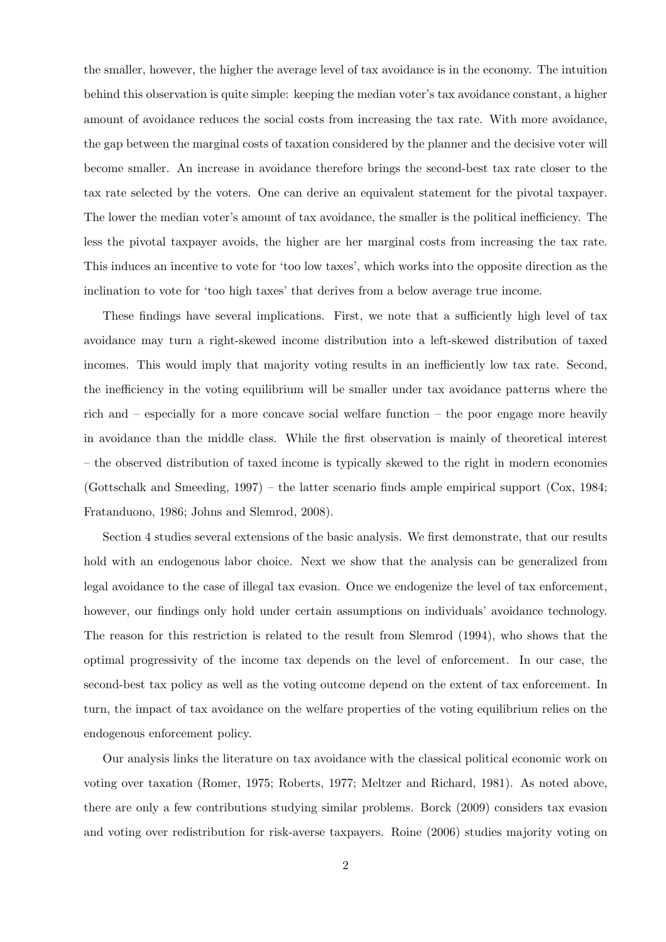the smaller, however, the higher the average level of tax avoidance is in the economy. The intuition behind this observation is quite simple: keeping the median voter's tax avoidance constant, a higher amount of avoidance reduces the social costs from increasing the tax rate. With more avoidance, the gap between the marginal costs of taxation considered by the planner and the decisive voter will become smaller. An increase in avoidance therefore brings the second-best tax rate closer to the tax rate selected by the voters. One can derive an equivalent statement for the pivotal taxpayer. The lower the median voter's amount of tax avoidance, the smaller is the political inefficiency. The less the pivotal taxpayer avoids, the higher are her marginal costs from increasing the tax rate. This induces an incentive to vote for 'too low taxes', which works into the opposite direction as the inclination to vote for 'too high taxes' that derives from a below average true income.

These findings have several implications. First, we note that a sufficiently high level of tax avoidance may turn a right-skewed income distribution into a left-skewed distribution of taxed incomes. This would imply that majority voting results in an inefficiently low tax rate. Second, the inefficiency in the voting equilibrium will be smaller under tax avoidance patterns where the rich and – especially for a more concave social welfare function – the poor engage more heavily in avoidance than the middle class. While the first observation is mainly of theoretical interest – the observed distribution of taxed income is typically skewed to the right in modern economies (Gottschalk and Smeeding, 1997) – the latter scenario finds ample empirical support (Cox, 1984; Fratanduono, 1986; Johns and Slemrod, 2008).

Section 4 studies several extensions of the basic analysis. We first demonstrate, that our results hold with an endogenous labor choice. Next we show that the analysis can be generalized from legal avoidance to the case of illegal tax evasion. Once we endogenize the level of tax enforcement, however, our findings only hold under certain assumptions on individuals' avoidance technology. The reason for this restriction is related to the result from Slemrod (1994), who shows that the optimal progressivity of the income tax depends on the level of enforcement. In our case, the second-best tax policy as well as the voting outcome depend on the extent of tax enforcement. In turn, the impact of tax avoidance on the welfare properties of the voting equilibrium relies on the endogenous enforcement policy.

Our analysis links the literature on tax avoidance with the classical political economic work on voting over taxation (Romer, 1975; Roberts, 1977; Meltzer and Richard, 1981). As noted above, there are only a few contributions studying similar problems. Borck (2009) considers tax evasion and voting over redistribution for risk-averse taxpayers. Roine (2006) studies majority voting on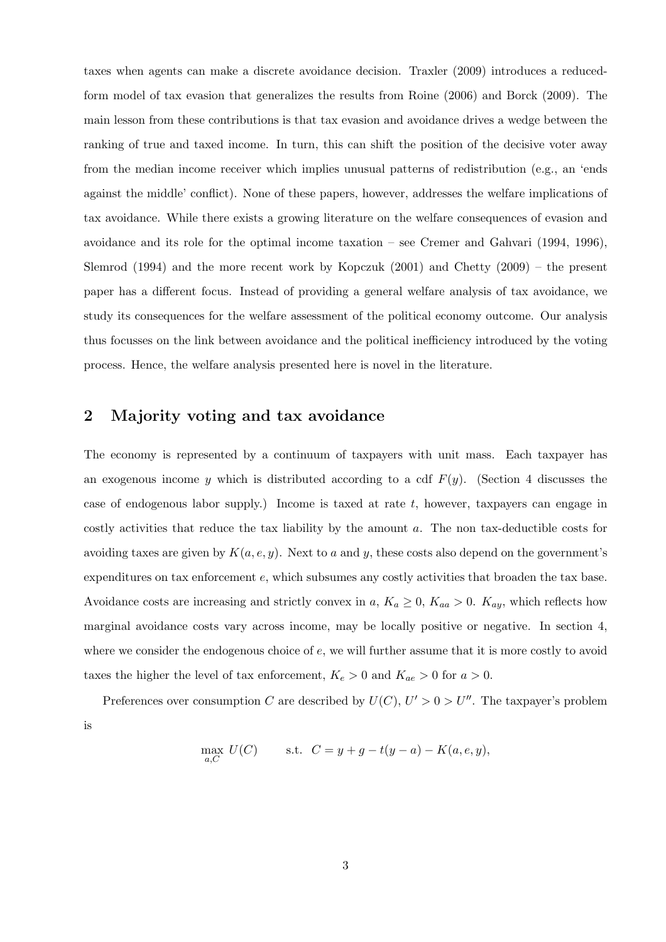taxes when agents can make a discrete avoidance decision. Traxler (2009) introduces a reducedform model of tax evasion that generalizes the results from Roine (2006) and Borck (2009). The main lesson from these contributions is that tax evasion and avoidance drives a wedge between the ranking of true and taxed income. In turn, this can shift the position of the decisive voter away from the median income receiver which implies unusual patterns of redistribution (e.g., an 'ends against the middle' conflict). None of these papers, however, addresses the welfare implications of tax avoidance. While there exists a growing literature on the welfare consequences of evasion and avoidance and its role for the optimal income taxation – see Cremer and Gahvari  $(1994, 1996)$ , Slemrod (1994) and the more recent work by Kopczuk (2001) and Chetty (2009) – the present paper has a different focus. Instead of providing a general welfare analysis of tax avoidance, we study its consequences for the welfare assessment of the political economy outcome. Our analysis thus focusses on the link between avoidance and the political inefficiency introduced by the voting process. Hence, the welfare analysis presented here is novel in the literature.

## 2 Majority voting and tax avoidance

The economy is represented by a continuum of taxpayers with unit mass. Each taxpayer has an exogenous income y which is distributed according to a cdf  $F(y)$ . (Section 4 discusses the case of endogenous labor supply.) Income is taxed at rate  $t$ , however, taxpayers can engage in costly activities that reduce the tax liability by the amount a. The non tax-deductible costs for avoiding taxes are given by  $K(a, e, y)$ . Next to a and y, these costs also depend on the government's expenditures on tax enforcement  $e$ , which subsumes any costly activities that broaden the tax base. Avoidance costs are increasing and strictly convex in a,  $K_a \geq 0$ ,  $K_{aa} > 0$ .  $K_{ay}$ , which reflects how marginal avoidance costs vary across income, may be locally positive or negative. In section 4, where we consider the endogenous choice of  $e$ , we will further assume that it is more costly to avoid taxes the higher the level of tax enforcement,  $K_e > 0$  and  $K_{ae} > 0$  for  $a > 0$ .

Preferences over consumption C are described by  $U(C)$ ,  $U' > 0 > U''$ . The taxpayer's problem is

$$
\max_{a,C} U(C) \qquad \text{s.t.} \quad C = y + g - t(y - a) - K(a, e, y),
$$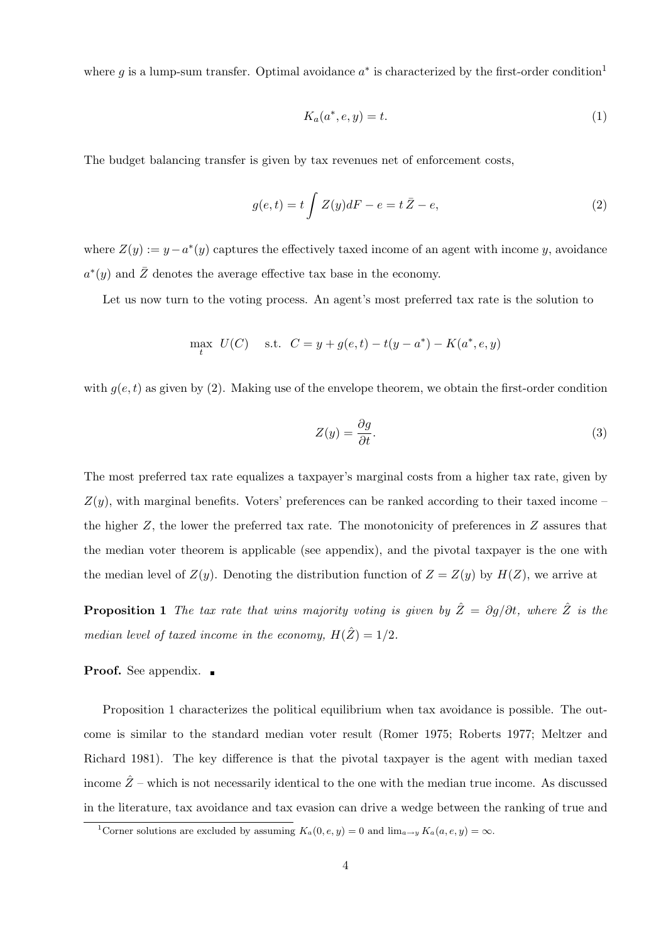where g is a lump-sum transfer. Optimal avoidance  $a^*$  is characterized by the first-order condition<sup>1</sup>

$$
K_a(a^*, e, y) = t.\t\t(1)
$$

The budget balancing transfer is given by tax revenues net of enforcement costs,

$$
g(e,t) = t \int Z(y)dF - e = t \bar{Z} - e,
$$
\n(2)

where  $Z(y) := y - a^*(y)$  captures the effectively taxed income of an agent with income y, avoidance  $a^*(y)$  and  $\overline{Z}$  denotes the average effective tax base in the economy.

Let us now turn to the voting process. An agent's most preferred tax rate is the solution to

$$
\max_{t} \ U(C) \quad \text{s.t.} \ \ C = y + g(e, t) - t(y - a^{*}) - K(a^{*}, e, y)
$$

with  $g(e, t)$  as given by (2). Making use of the envelope theorem, we obtain the first-order condition

$$
Z(y) = \frac{\partial g}{\partial t}.\tag{3}
$$

The most preferred tax rate equalizes a taxpayer's marginal costs from a higher tax rate, given by  $Z(y)$ , with marginal benefits. Voters' preferences can be ranked according to their taxed income – the higher Z, the lower the preferred tax rate. The monotonicity of preferences in Z assures that the median voter theorem is applicable (see appendix), and the pivotal taxpayer is the one with the median level of  $Z(y)$ . Denoting the distribution function of  $Z = Z(y)$  by  $H(Z)$ , we arrive at

**Proposition 1** The tax rate that wins majority voting is given by  $\hat{Z} = \partial g/\partial t$ , where  $\hat{Z}$  is the median level of taxed income in the economy,  $H(\hat{Z}) = 1/2$ .

Proof. See appendix.  $\blacksquare$ 

Proposition 1 characterizes the political equilibrium when tax avoidance is possible. The outcome is similar to the standard median voter result (Romer 1975; Roberts 1977; Meltzer and Richard 1981). The key difference is that the pivotal taxpayer is the agent with median taxed income  $\hat{Z}$  – which is not necessarily identical to the one with the median true income. As discussed in the literature, tax avoidance and tax evasion can drive a wedge between the ranking of true and

<sup>&</sup>lt;sup>1</sup>Corner solutions are excluded by assuming  $K_a(0, e, y) = 0$  and  $\lim_{a\to y} K_a(a, e, y) = \infty$ .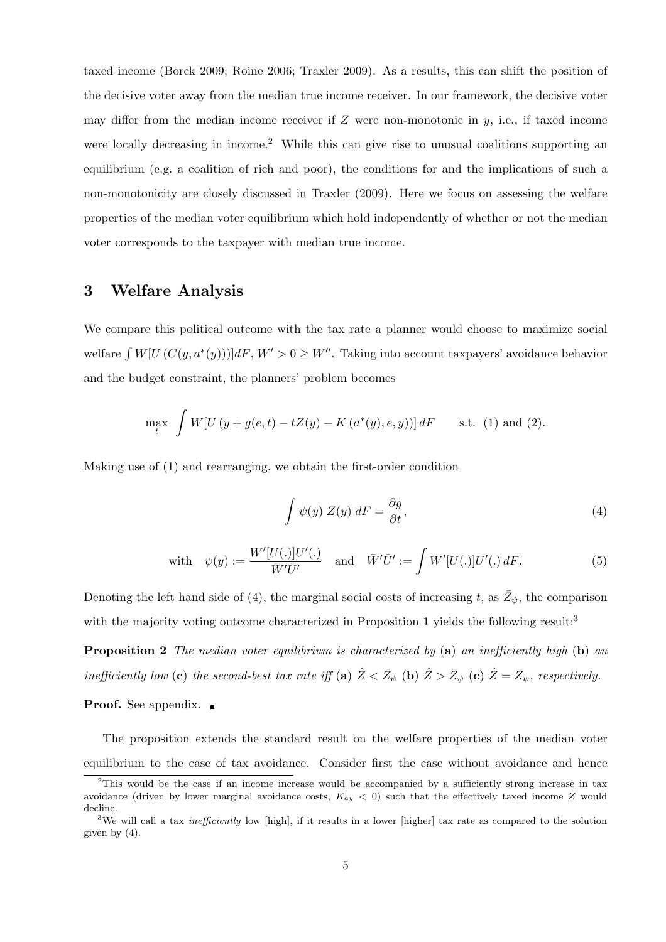taxed income (Borck 2009; Roine 2006; Traxler 2009). As a results, this can shift the position of the decisive voter away from the median true income receiver. In our framework, the decisive voter may differ from the median income receiver if  $Z$  were non-monotonic in  $y$ , i.e., if taxed income were locally decreasing in income.<sup>2</sup> While this can give rise to unusual coalitions supporting an equilibrium (e.g. a coalition of rich and poor), the conditions for and the implications of such a non-monotonicity are closely discussed in Traxler (2009). Here we focus on assessing the welfare properties of the median voter equilibrium which hold independently of whether or not the median voter corresponds to the taxpayer with median true income.

## 3 Welfare Analysis

We compare this political outcome with the tax rate a planner would choose to maximize social welfare  $\int W[U(C(y, a^*(y)))]dF$ ,  $W' > 0 \geq W''$ . Taking into account taxpayers' avoidance behavior and the budget constraint, the planners' problem becomes

$$
\max_{t} \int W[U(y+g(e,t)-tZ(y)-K(a^*(y),e,y))] dF \quad \text{s.t. (1) and (2).}
$$

Making use of (1) and rearranging, we obtain the first-order condition

$$
\int \psi(y) Z(y) dF = \frac{\partial g}{\partial t}, \tag{4}
$$

with 
$$
\psi(y) := \frac{W'[U(.)]U'(.)}{\overline{W}'\overline{U}'}
$$
 and  $\overline{W}'\overline{U}' := \int W'[U(.)]U'(.) dF.$  (5)

Denoting the left hand side of (4), the marginal social costs of increasing t, as  $\bar{Z}_{\psi}$ , the comparison with the majority voting outcome characterized in Proposition 1 yields the following result:<sup>3</sup>

**Proposition 2** The median voter equilibrium is characterized by (a) an inefficiently high (b) an inefficiently low (c) the second-best tax rate iff (a)  $\hat{Z} < \bar{Z}_{\psi}$  (b)  $\hat{Z} > \bar{Z}_{\psi}$  (c)  $\hat{Z} = \bar{Z}_{\psi}$ , respectively.

#### **Proof.** See appendix.

The proposition extends the standard result on the welfare properties of the median voter equilibrium to the case of tax avoidance. Consider first the case without avoidance and hence

<sup>2</sup>This would be the case if an income increase would be accompanied by a sufficiently strong increase in tax avoidance (driven by lower marginal avoidance costs,  $K_{ay} < 0$ ) such that the effectively taxed income Z would decline.

<sup>&</sup>lt;sup>3</sup>We will call a tax *inefficiently* low [high], if it results in a lower [higher] tax rate as compared to the solution given by (4).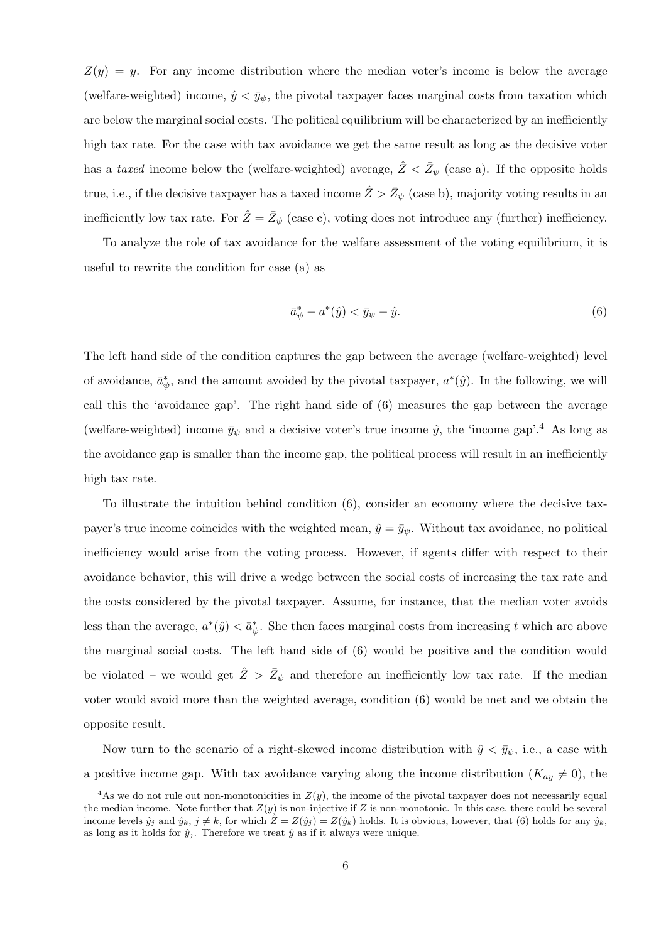$Z(y) = y$ . For any income distribution where the median voter's income is below the average (welfare-weighted) income,  $\hat{y} < \bar{y}_{\psi}$ , the pivotal taxpayer faces marginal costs from taxation which are below the marginal social costs. The political equilibrium will be characterized by an inefficiently high tax rate. For the case with tax avoidance we get the same result as long as the decisive voter has a taxed income below the (welfare-weighted) average,  $\hat{Z} < \bar{Z}_{\psi}$  (case a). If the opposite holds true, i.e., if the decisive taxpayer has a taxed income  $\hat{Z} > \bar{Z}_{\psi}$  (case b), majority voting results in an inefficiently low tax rate. For  $\hat{Z} = \bar{Z}_{\psi}$  (case c), voting does not introduce any (further) inefficiency.

To analyze the role of tax avoidance for the welfare assessment of the voting equilibrium, it is useful to rewrite the condition for case (a) as

$$
\bar{a}^*_{\psi} - a^*(\hat{y}) < \bar{y}_{\psi} - \hat{y}.\tag{6}
$$

The left hand side of the condition captures the gap between the average (welfare-weighted) level of avoidance,  $\bar{a}^*_{\psi}$ , and the amount avoided by the pivotal taxpayer,  $a^*(\hat{y})$ . In the following, we will call this the 'avoidance gap'. The right hand side of (6) measures the gap between the average (welfare-weighted) income  $\bar{y}_{\psi}$  and a decisive voter's true income  $\hat{y}$ , the 'income gap'.<sup>4</sup> As long as the avoidance gap is smaller than the income gap, the political process will result in an inefficiently high tax rate.

To illustrate the intuition behind condition (6), consider an economy where the decisive taxpayer's true income coincides with the weighted mean,  $\hat{y} = \bar{y}_{\psi}$ . Without tax avoidance, no political inefficiency would arise from the voting process. However, if agents differ with respect to their avoidance behavior, this will drive a wedge between the social costs of increasing the tax rate and the costs considered by the pivotal taxpayer. Assume, for instance, that the median voter avoids less than the average,  $a^*(\hat{y}) < \bar{a}_{\psi}^*$ . She then faces marginal costs from increasing t which are above the marginal social costs. The left hand side of (6) would be positive and the condition would be violated – we would get  $\hat{Z} > \bar{Z}_{\psi}$  and therefore an inefficiently low tax rate. If the median voter would avoid more than the weighted average, condition (6) would be met and we obtain the opposite result.

Now turn to the scenario of a right-skewed income distribution with  $\hat{y} < \bar{y}_{\psi}$ , i.e., a case with a positive income gap. With tax avoidance varying along the income distribution ( $K_{ay} \neq 0$ ), the

<sup>&</sup>lt;sup>4</sup>As we do not rule out non-monotonicities in  $Z(y)$ , the income of the pivotal taxpayer does not necessarily equal the median income. Note further that  $Z(y)$  is non-injective if Z is non-monotonic. In this case, there could be several income levels  $\hat{y}_j$  and  $\hat{y}_k$ ,  $j \neq k$ , for which  $\hat{Z} = Z(\hat{y}_j) = Z(\hat{y}_k)$  holds. It is obvious, however, that (6) holds for any  $\hat{y}_k$ , as long as it holds for  $\hat{y}_j$ . Therefore we treat  $\hat{y}$  as if it always were unique.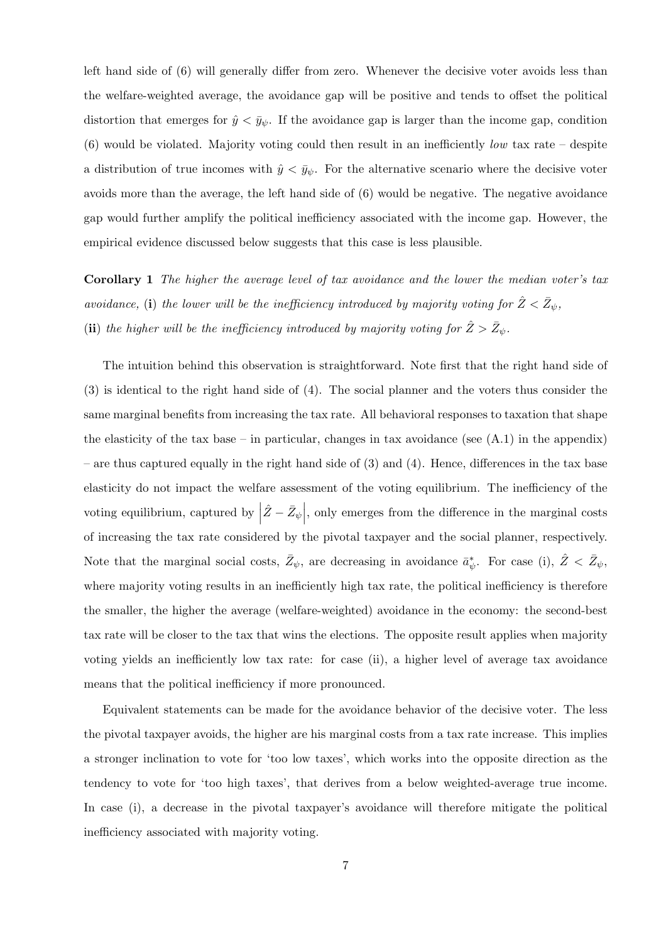left hand side of (6) will generally differ from zero. Whenever the decisive voter avoids less than the welfare-weighted average, the avoidance gap will be positive and tends to offset the political distortion that emerges for  $\hat{y} < \bar{y}_{\psi}$ . If the avoidance gap is larger than the income gap, condition  $(6)$  would be violated. Majority voting could then result in an inefficiently low tax rate – despite a distribution of true incomes with  $\hat{y} < \bar{y}_{\psi}$ . For the alternative scenario where the decisive voter avoids more than the average, the left hand side of (6) would be negative. The negative avoidance gap would further amplify the political inefficiency associated with the income gap. However, the empirical evidence discussed below suggests that this case is less plausible.

Corollary 1 The higher the average level of tax avoidance and the lower the median voter's tax avoidance, (i) the lower will be the inefficiency introduced by majority voting for  $\hat{Z} < \bar{Z}_{\psi}$ , (ii) the higher will be the inefficiency introduced by majority voting for  $\hat{Z} > \bar{Z}_{\psi}$ .

The intuition behind this observation is straightforward. Note first that the right hand side of (3) is identical to the right hand side of (4). The social planner and the voters thus consider the same marginal benefits from increasing the tax rate. All behavioral responses to taxation that shape the elasticity of the tax base – in particular, changes in tax avoidance (see  $(A.1)$ ) in the appendix) – are thus captured equally in the right hand side of  $(3)$  and  $(4)$ . Hence, differences in the tax base elasticity do not impact the welfare assessment of the voting equilibrium. The inefficiency of the voting equilibrium, captured by  $|\hat{Z}-\bar{Z}_{\psi}|$  $\vert$ , only emerges from the difference in the marginal costs of increasing the tax rate considered by the pivotal taxpayer and the social planner, respectively. Note that the marginal social costs,  $\bar{Z}_{\psi}$ , are decreasing in avoidance  $\bar{a}_{\psi}^*$ . For case (i),  $\hat{Z} < \bar{Z}_{\psi}$ , where majority voting results in an inefficiently high tax rate, the political inefficiency is therefore the smaller, the higher the average (welfare-weighted) avoidance in the economy: the second-best tax rate will be closer to the tax that wins the elections. The opposite result applies when majority voting yields an inefficiently low tax rate: for case (ii), a higher level of average tax avoidance means that the political inefficiency if more pronounced.

Equivalent statements can be made for the avoidance behavior of the decisive voter. The less the pivotal taxpayer avoids, the higher are his marginal costs from a tax rate increase. This implies a stronger inclination to vote for 'too low taxes', which works into the opposite direction as the tendency to vote for 'too high taxes', that derives from a below weighted-average true income. In case (i), a decrease in the pivotal taxpayer's avoidance will therefore mitigate the political inefficiency associated with majority voting.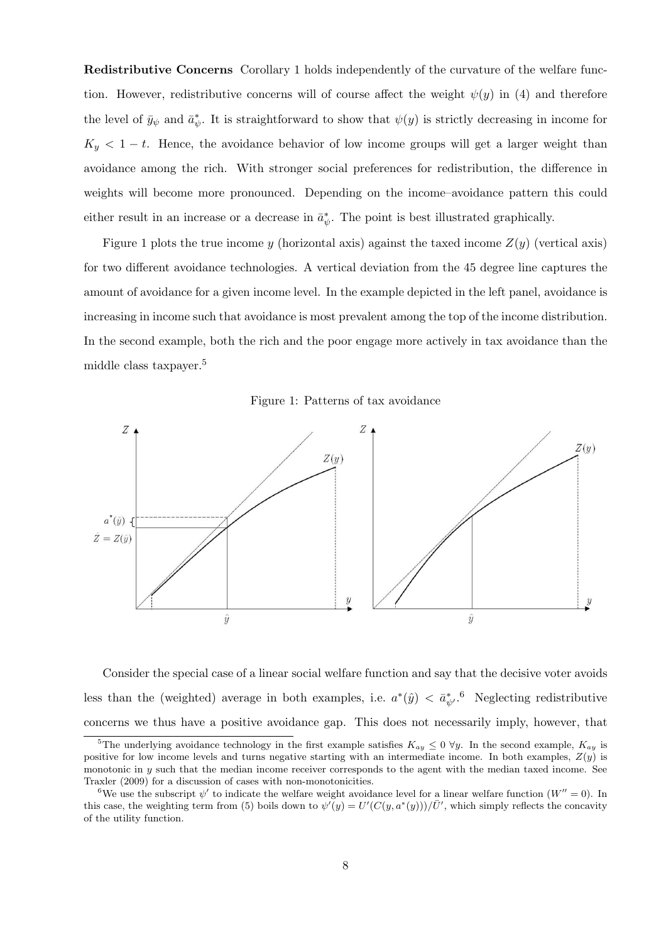Redistributive Concerns Corollary 1 holds independently of the curvature of the welfare function. However, redistributive concerns will of course affect the weight  $\psi(y)$  in (4) and therefore the level of  $\bar{y}_{\psi}$  and  $\bar{a}_{\psi}^*$ . It is straightforward to show that  $\psi(y)$  is strictly decreasing in income for  $K_y < 1-t$ . Hence, the avoidance behavior of low income groups will get a larger weight than avoidance among the rich. With stronger social preferences for redistribution, the difference in weights will become more pronounced. Depending on the income–avoidance pattern this could either result in an increase or a decrease in  $\bar{a}_{\psi}^*$ . The point is best illustrated graphically.

Figure 1 plots the true income y (horizontal axis) against the taxed income  $Z(y)$  (vertical axis) for two different avoidance technologies. A vertical deviation from the 45 degree line captures the amount of avoidance for a given income level. In the example depicted in the left panel, avoidance is increasing in income such that avoidance is most prevalent among the top of the income distribution. In the second example, both the rich and the poor engage more actively in tax avoidance than the middle class taxpayer.<sup>5</sup>

Figure 1: Patterns of tax avoidance



Consider the special case of a linear social welfare function and say that the decisive voter avoids less than the (weighted) average in both examples, i.e.  $a^*(\hat{y}) < \bar{a}_{\psi'}^*$ . Neglecting redistributive concerns we thus have a positive avoidance gap. This does not necessarily imply, however, that

<sup>&</sup>lt;sup>5</sup>The underlying avoidance technology in the first example satisfies  $K_{ay} \le 0 \ \forall y$ . In the second example,  $K_{ay}$  is positive for low income levels and turns negative starting with an intermediate income. In both examples,  $Z(y)$  is monotonic in  $y$  such that the median income receiver corresponds to the agent with the median taxed income. See Traxler (2009) for a discussion of cases with non-monotonicities.

<sup>&</sup>lt;sup>6</sup>We use the subscript  $\psi'$  to indicate the welfare weight avoidance level for a linear welfare function  $(W'' = 0)$ . In this case, the weighting term from (5) boils down to  $\psi'(y) = U'(C(y, a^*(y))) / \bar{U}'$ , which simply reflects the concavity of the utility function.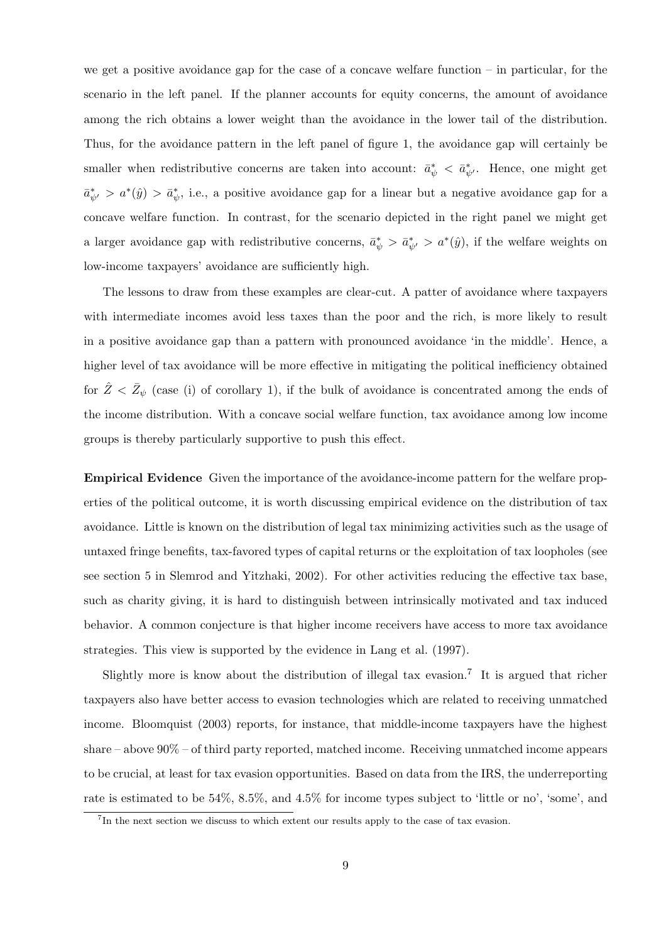we get a positive avoidance gap for the case of a concave welfare function  $-$  in particular, for the scenario in the left panel. If the planner accounts for equity concerns, the amount of avoidance among the rich obtains a lower weight than the avoidance in the lower tail of the distribution. Thus, for the avoidance pattern in the left panel of figure 1, the avoidance gap will certainly be smaller when redistributive concerns are taken into account:  $\bar{a}^*_{\psi} < \bar{a}^*_{\psi'}$ . Hence, one might get  $\bar{a}_{\psi'}^* > a^*(\hat{y}) > \bar{a}_{\psi}^*$ , i.e., a positive avoidance gap for a linear but a negative avoidance gap for a concave welfare function. In contrast, for the scenario depicted in the right panel we might get a larger avoidance gap with redistributive concerns,  $\bar{a}^*_{\psi} > \bar{a}^*_{\psi'} > a^*(\hat{y})$ , if the welfare weights on low-income taxpayers' avoidance are sufficiently high.

The lessons to draw from these examples are clear-cut. A patter of avoidance where taxpayers with intermediate incomes avoid less taxes than the poor and the rich, is more likely to result in a positive avoidance gap than a pattern with pronounced avoidance 'in the middle'. Hence, a higher level of tax avoidance will be more effective in mitigating the political inefficiency obtained for  $\hat{Z} < \bar{Z}_{\psi}$  (case (i) of corollary 1), if the bulk of avoidance is concentrated among the ends of the income distribution. With a concave social welfare function, tax avoidance among low income groups is thereby particularly supportive to push this effect.

Empirical Evidence Given the importance of the avoidance-income pattern for the welfare properties of the political outcome, it is worth discussing empirical evidence on the distribution of tax avoidance. Little is known on the distribution of legal tax minimizing activities such as the usage of untaxed fringe benefits, tax-favored types of capital returns or the exploitation of tax loopholes (see see section 5 in Slemrod and Yitzhaki, 2002). For other activities reducing the effective tax base, such as charity giving, it is hard to distinguish between intrinsically motivated and tax induced behavior. A common conjecture is that higher income receivers have access to more tax avoidance strategies. This view is supported by the evidence in Lang et al. (1997).

Slightly more is know about the distribution of illegal tax evasion.<sup>7</sup> It is argued that richer taxpayers also have better access to evasion technologies which are related to receiving unmatched income. Bloomquist (2003) reports, for instance, that middle-income taxpayers have the highest share – above 90% – of third party reported, matched income. Receiving unmatched income appears to be crucial, at least for tax evasion opportunities. Based on data from the IRS, the underreporting rate is estimated to be 54%, 8.5%, and 4.5% for income types subject to 'little or no', 'some', and

<sup>&</sup>lt;sup>7</sup>In the next section we discuss to which extent our results apply to the case of tax evasion.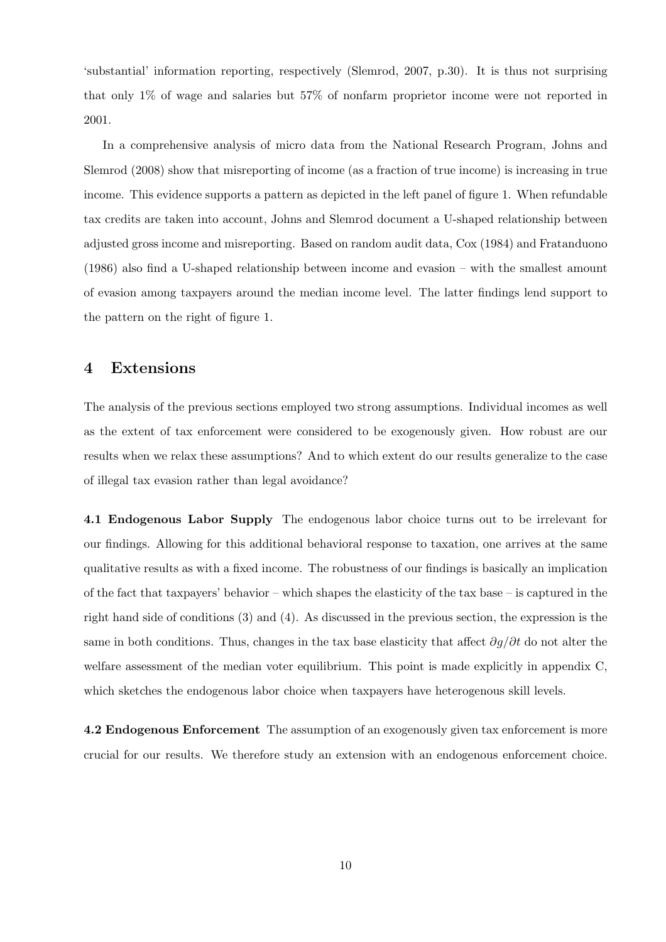'substantial' information reporting, respectively (Slemrod, 2007, p.30). It is thus not surprising that only 1% of wage and salaries but 57% of nonfarm proprietor income were not reported in 2001.

In a comprehensive analysis of micro data from the National Research Program, Johns and Slemrod (2008) show that misreporting of income (as a fraction of true income) is increasing in true income. This evidence supports a pattern as depicted in the left panel of figure 1. When refundable tax credits are taken into account, Johns and Slemrod document a U-shaped relationship between adjusted gross income and misreporting. Based on random audit data, Cox (1984) and Fratanduono (1986) also find a U-shaped relationship between income and evasion – with the smallest amount of evasion among taxpayers around the median income level. The latter findings lend support to the pattern on the right of figure 1.

## 4 Extensions

The analysis of the previous sections employed two strong assumptions. Individual incomes as well as the extent of tax enforcement were considered to be exogenously given. How robust are our results when we relax these assumptions? And to which extent do our results generalize to the case of illegal tax evasion rather than legal avoidance?

4.1 Endogenous Labor Supply The endogenous labor choice turns out to be irrelevant for our findings. Allowing for this additional behavioral response to taxation, one arrives at the same qualitative results as with a fixed income. The robustness of our findings is basically an implication of the fact that taxpayers' behavior – which shapes the elasticity of the tax base – is captured in the right hand side of conditions (3) and (4). As discussed in the previous section, the expression is the same in both conditions. Thus, changes in the tax base elasticity that affect  $\partial g/\partial t$  do not alter the welfare assessment of the median voter equilibrium. This point is made explicitly in appendix C, which sketches the endogenous labor choice when taxpayers have heterogenous skill levels.

4.2 Endogenous Enforcement The assumption of an exogenously given tax enforcement is more crucial for our results. We therefore study an extension with an endogenous enforcement choice.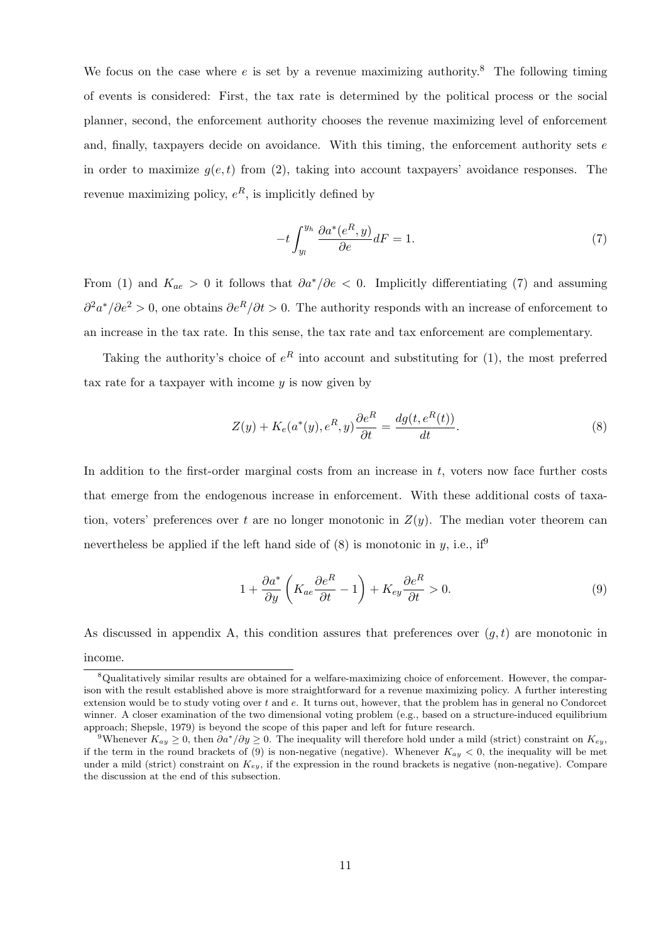We focus on the case where e is set by a revenue maximizing authority.<sup>8</sup> The following timing of events is considered: First, the tax rate is determined by the political process or the social planner, second, the enforcement authority chooses the revenue maximizing level of enforcement and, finally, taxpayers decide on avoidance. With this timing, the enforcement authority sets  $e$ in order to maximize  $q(e, t)$  from (2), taking into account taxpayers' avoidance responses. The revenue maximizing policy,  $e^R$ , is implicitly defined by

$$
-t\int_{y_l}^{y_h} \frac{\partial a^*(e^R, y)}{\partial e} dF = 1.
$$
 (7)

From (1) and  $K_{ae} > 0$  it follows that  $\partial a^*/\partial e < 0$ . Implicitly differentiating (7) and assuming  $\partial^2 a^*/\partial e^2 > 0$ , one obtains  $\partial e^R/\partial t > 0$ . The authority responds with an increase of enforcement to an increase in the tax rate. In this sense, the tax rate and tax enforcement are complementary.

Taking the authority's choice of  $e^R$  into account and substituting for (1), the most preferred tax rate for a taxpayer with income  $y$  is now given by

$$
Z(y) + K_e(a^*(y), e^R, y)\frac{\partial e^R}{\partial t} = \frac{dg(t, e^R(t))}{dt}.
$$
\n(8)

In addition to the first-order marginal costs from an increase in  $t$ , voters now face further costs that emerge from the endogenous increase in enforcement. With these additional costs of taxation, voters' preferences over t are no longer monotonic in  $Z(y)$ . The median voter theorem can nevertheless be applied if the left hand side of  $(8)$  is monotonic in y, i.e., if<sup>9</sup>

$$
1 + \frac{\partial a^*}{\partial y} \left( K_{ae} \frac{\partial e^R}{\partial t} - 1 \right) + K_{ey} \frac{\partial e^R}{\partial t} > 0.
$$
 (9)

As discussed in appendix A, this condition assures that preferences over  $(q, t)$  are monotonic in income.

<sup>8</sup>Qualitatively similar results are obtained for a welfare-maximizing choice of enforcement. However, the comparison with the result established above is more straightforward for a revenue maximizing policy. A further interesting extension would be to study voting over t and e. It turns out, however, that the problem has in general no Condorcet winner. A closer examination of the two dimensional voting problem (e.g., based on a structure-induced equilibrium approach; Shepsle, 1979) is beyond the scope of this paper and left for future research.

<sup>&</sup>lt;sup>9</sup>Whenever  $K_{ay} \geq 0$ , then  $\partial a^*/\partial y \geq 0$ . The inequality will therefore hold under a mild (strict) constraint on  $K_{ey}$ , if the term in the round brackets of (9) is non-negative (negative). Whenever  $K_{ay} < 0$ , the inequality will be met under a mild (strict) constraint on  $K_{ey}$ , if the expression in the round brackets is negative (non-negative). Compare the discussion at the end of this subsection.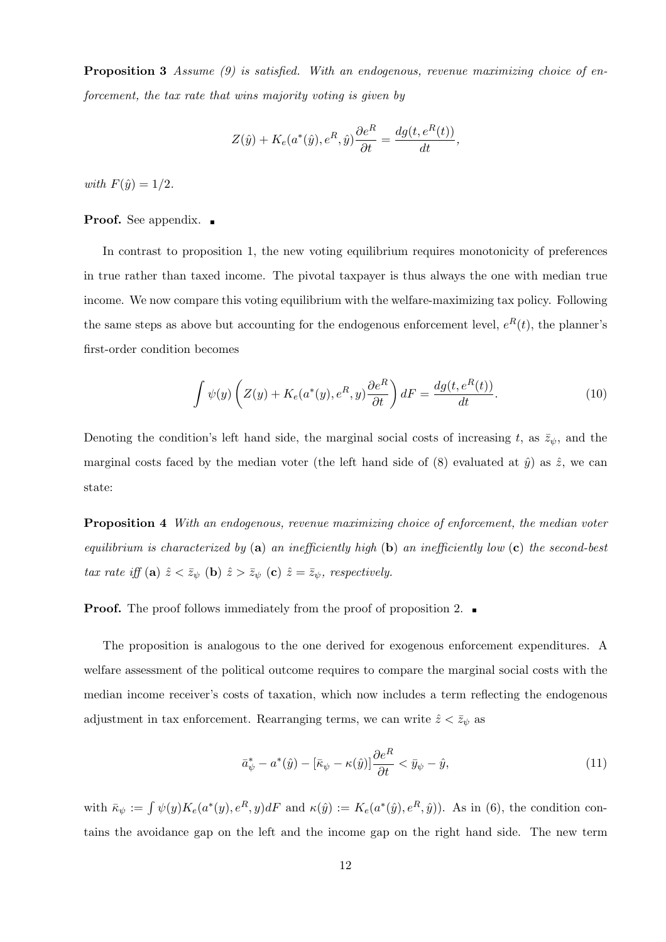Proposition 3 Assume (9) is satisfied. With an endogenous, revenue maximizing choice of enforcement, the tax rate that wins majority voting is given by

$$
Z(\hat{y}) + K_e(a^*(\hat{y}), e^R, \hat{y}) \frac{\partial e^R}{\partial t} = \frac{dg(t, e^R(t))}{dt},
$$

with  $F(\hat{y}) = 1/2$ .

**Proof.** See appendix.  $\blacksquare$ 

In contrast to proposition 1, the new voting equilibrium requires monotonicity of preferences in true rather than taxed income. The pivotal taxpayer is thus always the one with median true income. We now compare this voting equilibrium with the welfare-maximizing tax policy. Following the same steps as above but accounting for the endogenous enforcement level,  $e^{R}(t)$ , the planner's first-order condition becomes

$$
\int \psi(y) \left( Z(y) + K_e(a^*(y), e^R, y) \frac{\partial e^R}{\partial t} \right) dF = \frac{dg(t, e^R(t))}{dt}.
$$
\n(10)

Denoting the condition's left hand side, the marginal social costs of increasing t, as  $\bar{z}_{\psi}$ , and the marginal costs faced by the median voter (the left hand side of  $(8)$  evaluated at  $\hat{y}$ ) as  $\hat{z}$ , we can state:

**Proposition 4** With an endogenous, revenue maximizing choice of enforcement, the median voter equilibrium is characterized by  $(a)$  an inefficiently high  $(b)$  an inefficiently low  $(c)$  the second-best tax rate iff (a)  $\hat{z} < \bar{z}_{\psi}$  (b)  $\hat{z} > \bar{z}_{\psi}$  (c)  $\hat{z} = \bar{z}_{\psi}$ , respectively.

**Proof.** The proof follows immediately from the proof of proposition 2.

The proposition is analogous to the one derived for exogenous enforcement expenditures. A welfare assessment of the political outcome requires to compare the marginal social costs with the median income receiver's costs of taxation, which now includes a term reflecting the endogenous adjustment in tax enforcement. Rearranging terms, we can write  $\hat{z} < \bar{z}_{\psi}$  as

$$
\bar{a}^*_{\psi} - a^*(\hat{y}) - [\bar{\kappa}_{\psi} - \kappa(\hat{y})] \frac{\partial e^R}{\partial t} < \bar{y}_{\psi} - \hat{y},\tag{11}
$$

with  $\bar{\kappa}_{\psi} := \int \psi(y) K_e(a^*(y), e^R, y) dF$  and  $\kappa(\hat{y}) := K_e(a^*(\hat{y}), e^R, \hat{y})$ . As in (6), the condition contains the avoidance gap on the left and the income gap on the right hand side. The new term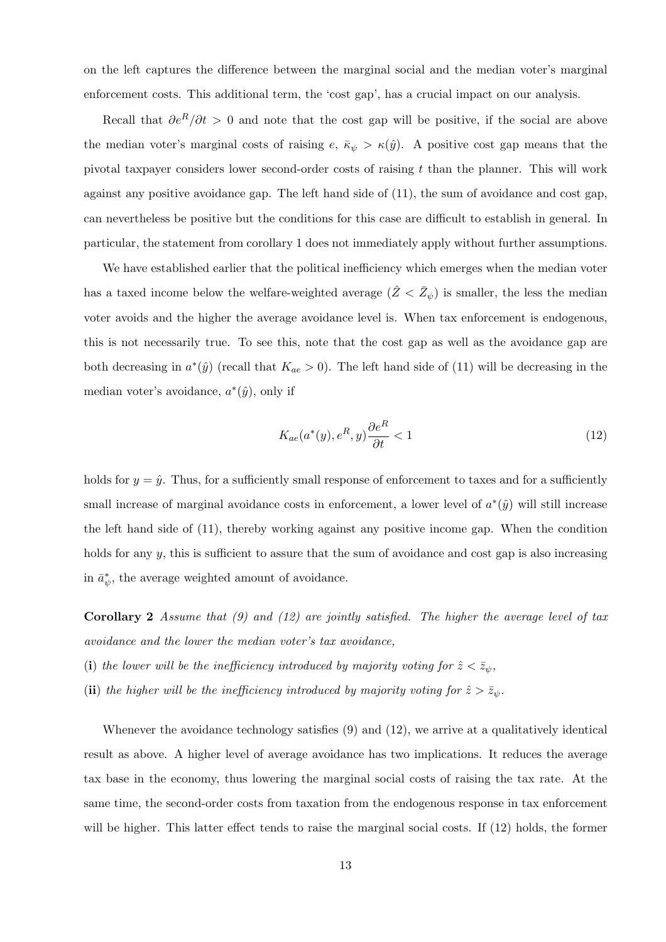on the left captures the difference between the marginal social and the median voter's marginal enforcement costs. This additional term, the 'cost gap', has a crucial impact on our analysis.

Recall that  $\partial e^R/\partial t > 0$  and note that the cost gap will be positive, if the social are above the median voter's marginal costs of raising  $e, \overline{\kappa}_{\psi} > \kappa(\hat{y})$ . A positive cost gap means that the pivotal taxpayer considers lower second-order costs of raising  $t$  than the planner. This will work against any positive avoidance gap. The left hand side of (11), the sum of avoidance and cost gap, can nevertheless be positive but the conditions for this case are difficult to establish in general. In particular, the statement from corollary 1 does not immediately apply without further assumptions.

We have established earlier that the political inefficiency which emerges when the median voter has a taxed income below the welfare-weighted average  $(\hat{Z} < \bar{Z}_{\psi})$  is smaller, the less the median voter avoids and the higher the average avoidance level is. When tax enforcement is endogenous, this is not necessarily true. To see this, note that the cost gap as well as the avoidance gap are both decreasing in  $a^*(\hat{y})$  (recall that  $K_{ae} > 0$ ). The left hand side of (11) will be decreasing in the median voter's avoidance,  $a^*(\hat{y})$ , only if

$$
K_{ae}(a^*(y), e^R, y)\frac{\partial e^R}{\partial t} < 1\tag{12}
$$

holds for  $y = \hat{y}$ . Thus, for a sufficiently small response of enforcement to taxes and for a sufficiently small increase of marginal avoidance costs in enforcement, a lower level of  $a^*(\hat{y})$  will still increase the left hand side of (11), thereby working against any positive income gap. When the condition holds for any y, this is sufficient to assure that the sum of avoidance and cost gap is also increasing in  $\bar{a}^*_{\psi}$ , the average weighted amount of avoidance.

**Corollary 2** Assume that (9) and (12) are jointly satisfied. The higher the average level of tax avoidance and the lower the median voter's tax avoidance,

- (i) the lower will be the inefficiency introduced by majority voting for  $\hat{z} < \bar{z}_{\psi}$ ,
- (ii) the higher will be the inefficiency introduced by majority voting for  $\hat{z} > \bar{z}_{\psi}$ .

Whenever the avoidance technology satisfies (9) and (12), we arrive at a qualitatively identical result as above. A higher level of average avoidance has two implications. It reduces the average tax base in the economy, thus lowering the marginal social costs of raising the tax rate. At the same time, the second-order costs from taxation from the endogenous response in tax enforcement will be higher. This latter effect tends to raise the marginal social costs. If (12) holds, the former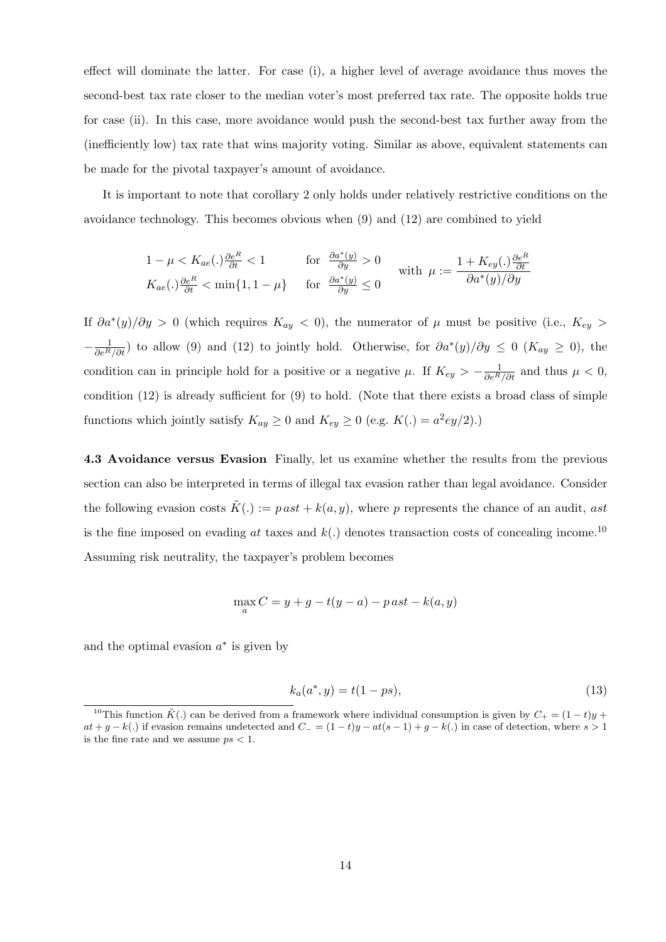effect will dominate the latter. For case (i), a higher level of average avoidance thus moves the second-best tax rate closer to the median voter's most preferred tax rate. The opposite holds true for case (ii). In this case, more avoidance would push the second-best tax further away from the (inefficiently low) tax rate that wins majority voting. Similar as above, equivalent statements can be made for the pivotal taxpayer's amount of avoidance.

It is important to note that corollary 2 only holds under relatively restrictive conditions on the avoidance technology. This becomes obvious when (9) and (12) are combined to yield

$$
1 - \mu < K_{ae}(.)\frac{\partial e^R}{\partial t} < 1 \qquad \text{for } \frac{\partial a^*(y)}{\partial y} > 0 \qquad \text{with } \mu := \frac{1 + K_{ey}(.)\frac{\partial e^R}{\partial t}}{\partial a^*(y)/\partial y}
$$
\n
$$
K_{ae}(.)\frac{\partial e^R}{\partial t} < \min\{1, 1 - \mu\} \qquad \text{for } \frac{\partial a^*(y)}{\partial y} \le 0 \qquad \text{with } \mu := \frac{1 + K_{ey}(.)\frac{\partial e^R}{\partial t}}{\partial a^*(y)/\partial y}
$$

If  $\partial a^*(y)/\partial y > 0$  (which requires  $K_{ay} < 0$ ), the numerator of  $\mu$  must be positive (i.e.,  $K_{ey} >$  $-\frac{1}{\partial e^{R}/\partial t}$  to allow (9) and (12) to jointly hold. Otherwise, for  $\partial a^{*}(y)/\partial y \leq 0$  ( $K_{ay} \geq 0$ ), the condition can in principle hold for a positive or a negative  $\mu$ . If  $K_{ey} > -\frac{1}{\partial e^R/\partial t}$  and thus  $\mu < 0$ , condition (12) is already sufficient for (9) to hold. (Note that there exists a broad class of simple functions which jointly satisfy  $K_{ay} \geq 0$  and  $K_{ey} \geq 0$  (e.g.  $K(.) = a^2ey/2).$ )

4.3 Avoidance versus Evasion Finally, let us examine whether the results from the previous section can also be interpreted in terms of illegal tax evasion rather than legal avoidance. Consider the following evasion costs  $\tilde{K}$ .  $:=$  p ast + k(a, y), where p represents the chance of an audit, ast is the fine imposed on evading at taxes and  $k(.)$  denotes transaction costs of concealing income.<sup>10</sup> Assuming risk neutrality, the taxpayer's problem becomes

$$
\max_{a} C = y + g - t(y - a) - p \, ast - k(a, y)
$$

and the optimal evasion  $a^*$  is given by

$$
k_a(a^*, y) = t(1 - ps),
$$
\n(13)

<sup>&</sup>lt;sup>10</sup>This function  $\tilde{K}(\cdot)$  can be derived from a framework where individual consumption is given by  $C_+ = (1-t)y +$  $at + g - k(.)$  if evasion remains undetected and  $C_ = (1-t)y - at(s-1) + g - k(.)$  in case of detection, where  $s > 1$ is the fine rate and we assume  $ps < 1$ .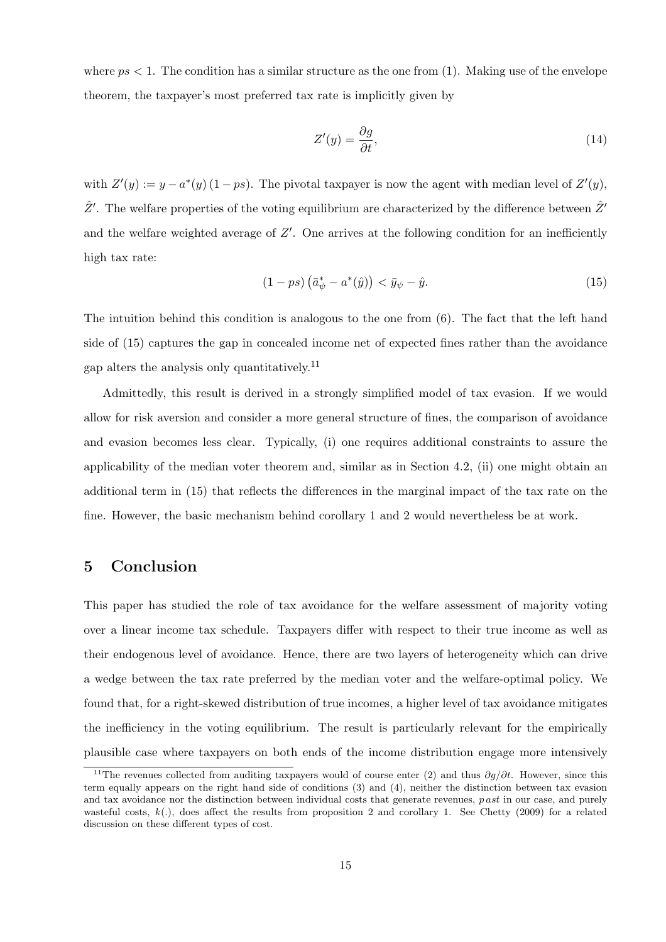where  $ps < 1$ . The condition has a similar structure as the one from (1). Making use of the envelope theorem, the taxpayer's most preferred tax rate is implicitly given by

$$
Z'(y) = \frac{\partial g}{\partial t},\tag{14}
$$

with  $Z'(y) := y - a^*(y) (1 - ps)$ . The pivotal taxpayer is now the agent with median level of  $Z'(y)$ ,  $\hat{Z}'$ . The welfare properties of the voting equilibrium are characterized by the difference between  $\hat{Z}'$ and the welfare weighted average of  $Z'$ . One arrives at the following condition for an inefficiently high tax rate:

$$
(1 - ps)\left(\bar{a}_{\psi}^* - a^*(\hat{y})\right) < \bar{y}_{\psi} - \hat{y}.\tag{15}
$$

The intuition behind this condition is analogous to the one from (6). The fact that the left hand side of (15) captures the gap in concealed income net of expected fines rather than the avoidance gap alters the analysis only quantitatively.<sup>11</sup>

Admittedly, this result is derived in a strongly simplified model of tax evasion. If we would allow for risk aversion and consider a more general structure of fines, the comparison of avoidance and evasion becomes less clear. Typically, (i) one requires additional constraints to assure the applicability of the median voter theorem and, similar as in Section 4.2, (ii) one might obtain an additional term in (15) that reflects the differences in the marginal impact of the tax rate on the fine. However, the basic mechanism behind corollary 1 and 2 would nevertheless be at work.

## 5 Conclusion

This paper has studied the role of tax avoidance for the welfare assessment of majority voting over a linear income tax schedule. Taxpayers differ with respect to their true income as well as their endogenous level of avoidance. Hence, there are two layers of heterogeneity which can drive a wedge between the tax rate preferred by the median voter and the welfare-optimal policy. We found that, for a right-skewed distribution of true incomes, a higher level of tax avoidance mitigates the inefficiency in the voting equilibrium. The result is particularly relevant for the empirically plausible case where taxpayers on both ends of the income distribution engage more intensively

<sup>&</sup>lt;sup>11</sup>The revenues collected from auditing taxpayers would of course enter (2) and thus  $\partial g/\partial t$ . However, since this term equally appears on the right hand side of conditions (3) and (4), neither the distinction between tax evasion and tax avoidance nor the distinction between individual costs that generate revenues,  $past$  in our case, and purely wasteful costs,  $k(.)$ , does affect the results from proposition 2 and corollary 1. See Chetty (2009) for a related discussion on these different types of cost.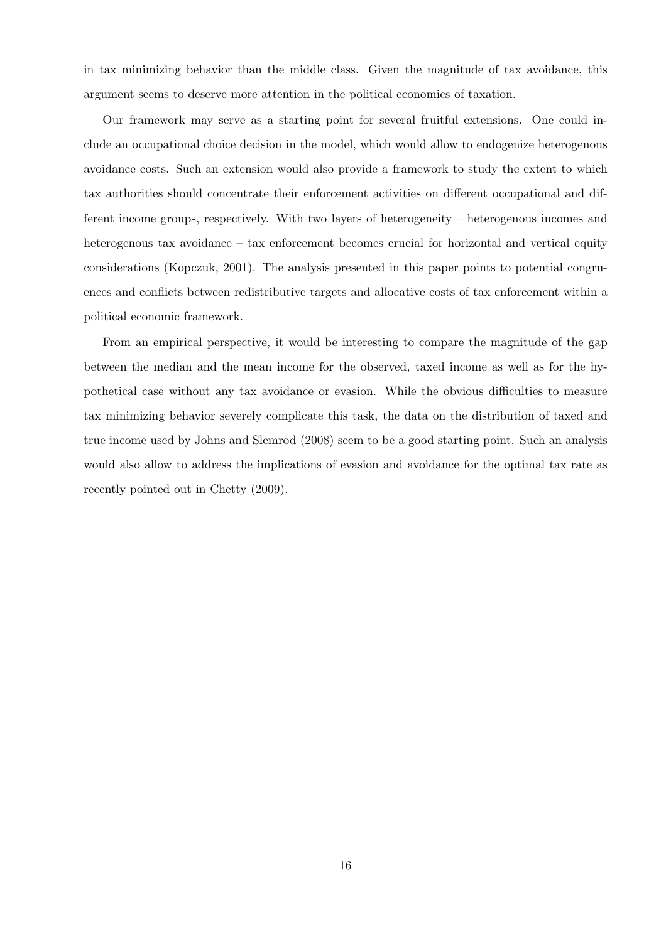in tax minimizing behavior than the middle class. Given the magnitude of tax avoidance, this argument seems to deserve more attention in the political economics of taxation.

Our framework may serve as a starting point for several fruitful extensions. One could include an occupational choice decision in the model, which would allow to endogenize heterogenous avoidance costs. Such an extension would also provide a framework to study the extent to which tax authorities should concentrate their enforcement activities on different occupational and different income groups, respectively. With two layers of heterogeneity – heterogenous incomes and heterogenous tax avoidance – tax enforcement becomes crucial for horizontal and vertical equity considerations (Kopczuk, 2001). The analysis presented in this paper points to potential congruences and conflicts between redistributive targets and allocative costs of tax enforcement within a political economic framework.

From an empirical perspective, it would be interesting to compare the magnitude of the gap between the median and the mean income for the observed, taxed income as well as for the hypothetical case without any tax avoidance or evasion. While the obvious difficulties to measure tax minimizing behavior severely complicate this task, the data on the distribution of taxed and true income used by Johns and Slemrod (2008) seem to be a good starting point. Such an analysis would also allow to address the implications of evasion and avoidance for the optimal tax rate as recently pointed out in Chetty (2009).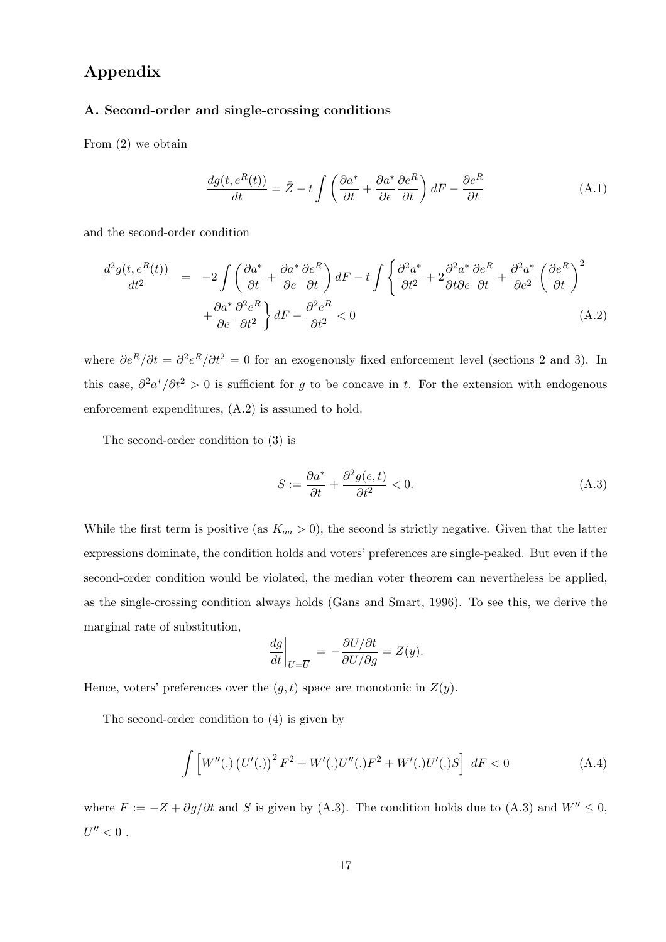## Appendix

#### A. Second-order and single-crossing conditions

From (2) we obtain

$$
\frac{dg(t, e^{R}(t))}{dt} = \bar{Z} - t \int \left(\frac{\partial a^{*}}{\partial t} + \frac{\partial a^{*}}{\partial e} \frac{\partial e^{R}}{\partial t}\right) dF - \frac{\partial e^{R}}{\partial t}
$$
(A.1)

and the second-order condition

$$
\frac{d^2g(t, e^R(t))}{dt^2} = -2\int \left(\frac{\partial a^*}{\partial t} + \frac{\partial a^*}{\partial e} \frac{\partial e^R}{\partial t}\right) dF - t \int \left\{\frac{\partial^2 a^*}{\partial t^2} + 2\frac{\partial^2 a^*}{\partial t \partial e} \frac{\partial e^R}{\partial t} + \frac{\partial^2 a^*}{\partial e^2} \left(\frac{\partial e^R}{\partial t}\right)^2 + \frac{\partial a^*}{\partial e} \frac{\partial^2 e^R}{\partial t^2}\right\} dF - \frac{\partial^2 e^R}{\partial t^2} < 0
$$
\n(A.2)

where  $\partial e^R/\partial t = \partial^2 e^R/\partial t^2 = 0$  for an exogenously fixed enforcement level (sections 2 and 3). In this case,  $\partial^2 a^*/\partial t^2 > 0$  is sufficient for g to be concave in t. For the extension with endogenous enforcement expenditures, (A.2) is assumed to hold.

The second-order condition to (3) is

$$
S := \frac{\partial a^*}{\partial t} + \frac{\partial^2 g(e, t)}{\partial t^2} < 0. \tag{A.3}
$$

While the first term is positive (as  $K_{aa} > 0$ ), the second is strictly negative. Given that the latter expressions dominate, the condition holds and voters' preferences are single-peaked. But even if the second-order condition would be violated, the median voter theorem can nevertheless be applied, as the single-crossing condition always holds (Gans and Smart, 1996). To see this, we derive the marginal rate of substitution,  $\overline{a}$ 

$$
\left.\frac{dg}{dt}\right|_{U=\overline{U}}\,=\,-\frac{\partial U/\partial t}{\partial U/\partial g}=Z(y).
$$

Hence, voters' preferences over the  $(g, t)$  space are monotonic in  $Z(y)$ .

The second-order condition to (4) is given by

$$
\int \left[ W''(.) \left( U'(.) \right)^2 F^2 + W'(.) U''(.) F^2 + W'(.) U'(.) S \right] dF < 0
$$
\n(A.4)

where  $F := -Z + \partial g/\partial t$  and S is given by (A.3). The condition holds due to (A.3) and  $W'' \leq 0$ ,  $U'' < 0$ .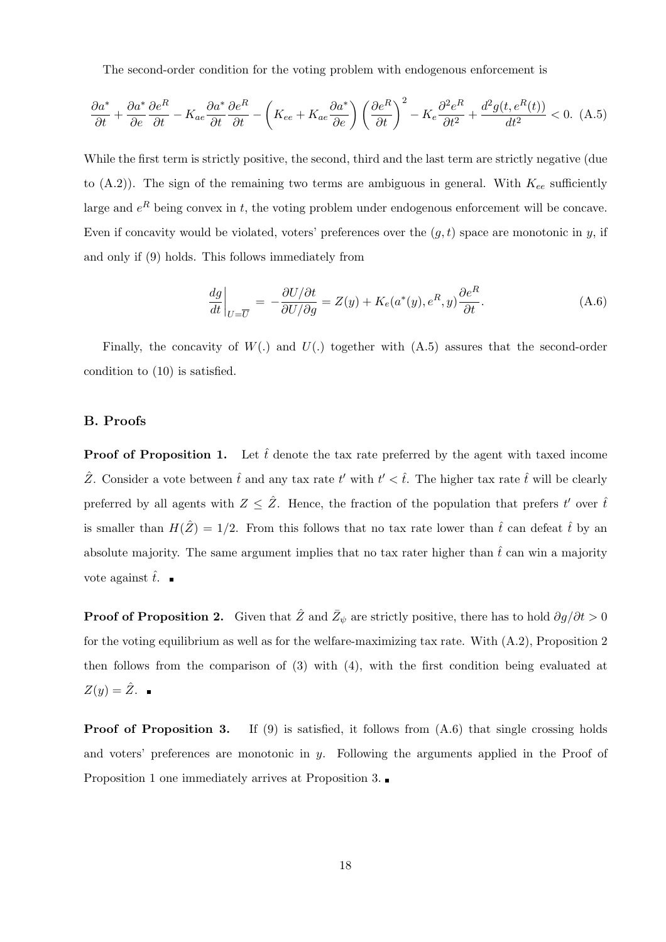The second-order condition for the voting problem with endogenous enforcement is

$$
\frac{\partial a^*}{\partial t} + \frac{\partial a^*}{\partial e} \frac{\partial e^R}{\partial t} - K_{ae} \frac{\partial a^*}{\partial t} \frac{\partial e^R}{\partial t} - \left(K_{ee} + K_{ae} \frac{\partial a^*}{\partial e}\right) \left(\frac{\partial e^R}{\partial t}\right)^2 - K_e \frac{\partial^2 e^R}{\partial t^2} + \frac{d^2 g(t, e^R(t))}{dt^2} < 0. \tag{A.5}
$$

While the first term is strictly positive, the second, third and the last term are strictly negative (due to  $(A.2)$ ). The sign of the remaining two terms are ambiguous in general. With  $K_{ee}$  sufficiently large and  $e^R$  being convex in t, the voting problem under endogenous enforcement will be concave. Even if concavity would be violated, voters' preferences over the  $(g, t)$  space are monotonic in y, if and only if (9) holds. This follows immediately from

$$
\left. \frac{dg}{dt} \right|_{U = \overline{U}} = -\frac{\partial U/\partial t}{\partial U/\partial g} = Z(y) + K_e(a^*(y), e^R, y) \frac{\partial e^R}{\partial t}.
$$
\n(A.6)

Finally, the concavity of  $W(.)$  and  $U(.)$  together with  $(A.5)$  assures that the second-order condition to (10) is satisfied.

#### B. Proofs

**Proof of Proposition 1.** Let  $\hat{t}$  denote the tax rate preferred by the agent with taxed income  $\hat{Z}$ . Consider a vote between  $\hat{t}$  and any tax rate t' with  $t' < \hat{t}$ . The higher tax rate  $\hat{t}$  will be clearly preferred by all agents with  $Z \leq \hat{Z}$ . Hence, the fraction of the population that prefers t' over  $\hat{t}$ is smaller than  $H(\hat{Z}) = 1/2$ . From this follows that no tax rate lower than  $\hat{t}$  can defeat  $\hat{t}$  by an absolute majority. The same argument implies that no tax rater higher than  $\hat{t}$  can win a majority vote against  $\hat{t}$ .

**Proof of Proposition 2.** Given that  $\hat{Z}$  and  $\bar{Z}_{\psi}$  are strictly positive, there has to hold  $\partial g/\partial t > 0$ for the voting equilibrium as well as for the welfare-maximizing tax rate. With (A.2), Proposition 2 then follows from the comparison of  $(3)$  with  $(4)$ , with the first condition being evaluated at  $Z(y) = \hat{Z}$ .

**Proof of Proposition 3.** If  $(9)$  is satisfied, it follows from  $(A.6)$  that single crossing holds and voters' preferences are monotonic in  $y$ . Following the arguments applied in the Proof of Proposition 1 one immediately arrives at Proposition 3.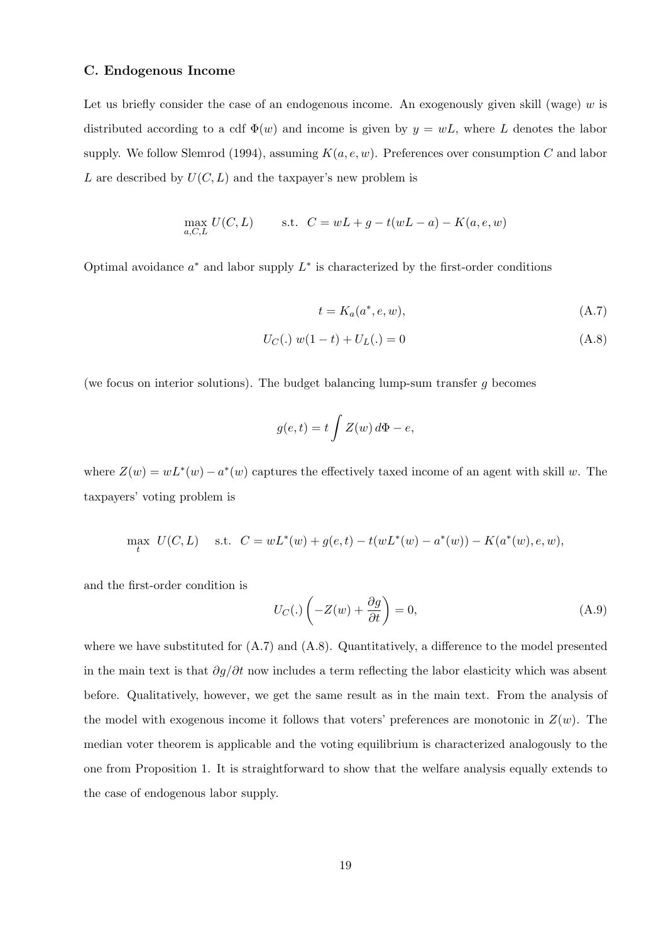#### C. Endogenous Income

Let us briefly consider the case of an endogenous income. An exogenously given skill (wage)  $w$  is distributed according to a cdf  $\Phi(w)$  and income is given by  $y = wL$ , where L denotes the labor supply. We follow Slemrod (1994), assuming  $K(a, e, w)$ . Preferences over consumption C and labor L are described by  $U(C, L)$  and the taxpayer's new problem is

$$
\max_{a,C,L} U(C,L) \qquad \text{s.t.} \ \ C = wL + g - t(wL - a) - K(a,e,w)
$$

Optimal avoidance  $a^*$  and labor supply  $L^*$  is characterized by the first-order conditions

$$
t = K_a(a^*, e, w), \tag{A.7}
$$

$$
U_C(.) w(1-t) + U_L(.) = 0
$$
\n(A.8)

(we focus on interior solutions). The budget balancing lump-sum transfer  $g$  becomes

$$
g(e,t) = t \int Z(w) d\Phi - e,
$$

where  $Z(w) = wL^*(w) - a^*(w)$  captures the effectively taxed income of an agent with skill w. The taxpayers' voting problem is

$$
\max_{t} \ U(C, L) \quad \text{s.t.} \ \ C = wL^{*}(w) + g(e, t) - t(wL^{*}(w) - a^{*}(w)) - K(a^{*}(w), e, w),
$$

and the first-order condition is

$$
U_C(.)\left(-Z(w) + \frac{\partial g}{\partial t}\right) = 0,\tag{A.9}
$$

where we have substituted for  $(A.7)$  and  $(A.8)$ . Quantitatively, a difference to the model presented in the main text is that  $\partial g/\partial t$  now includes a term reflecting the labor elasticity which was absent before. Qualitatively, however, we get the same result as in the main text. From the analysis of the model with exogenous income it follows that voters' preferences are monotonic in  $Z(w)$ . The median voter theorem is applicable and the voting equilibrium is characterized analogously to the one from Proposition 1. It is straightforward to show that the welfare analysis equally extends to the case of endogenous labor supply.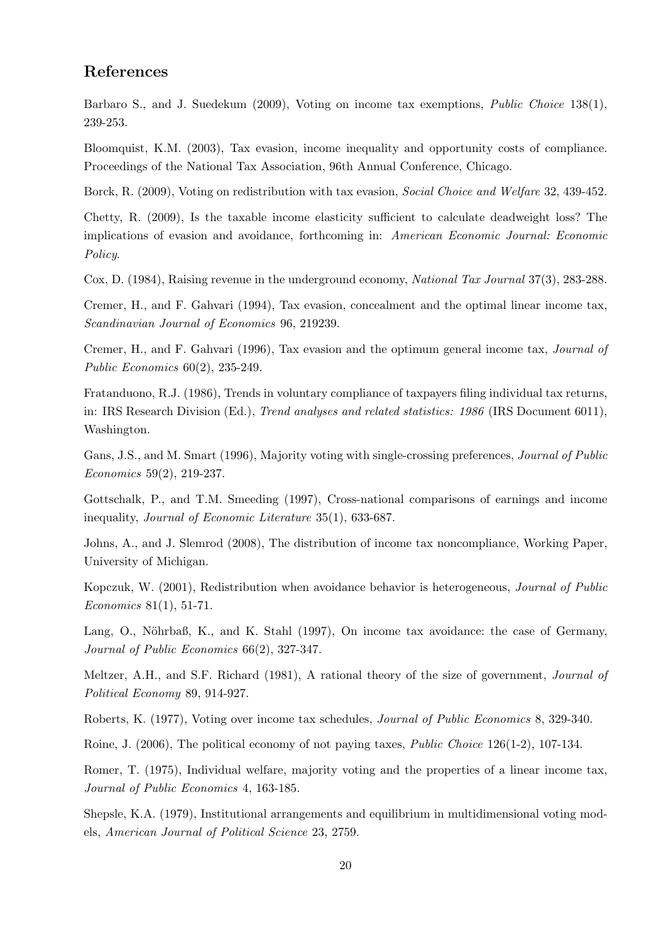## References

Barbaro S., and J. Suedekum (2009), Voting on income tax exemptions, Public Choice 138(1), 239-253.

Bloomquist, K.M. (2003), Tax evasion, income inequality and opportunity costs of compliance. Proceedings of the National Tax Association, 96th Annual Conference, Chicago.

Borck, R. (2009), Voting on redistribution with tax evasion, Social Choice and Welfare 32, 439-452.

Chetty, R. (2009), Is the taxable income elasticity sufficient to calculate deadweight loss? The implications of evasion and avoidance, forthcoming in: American Economic Journal: Economic Policy.

Cox, D. (1984), Raising revenue in the underground economy, National Tax Journal 37(3), 283-288.

Cremer, H., and F. Gahvari (1994), Tax evasion, concealment and the optimal linear income tax, Scandinavian Journal of Economics 96, 219239.

Cremer, H., and F. Gahvari (1996), Tax evasion and the optimum general income tax, Journal of Public Economics 60(2), 235-249.

Fratanduono, R.J. (1986), Trends in voluntary compliance of taxpayers filing individual tax returns, in: IRS Research Division (Ed.), Trend analyses and related statistics: 1986 (IRS Document 6011), Washington.

Gans, J.S., and M. Smart (1996), Majority voting with single-crossing preferences, *Journal of Public* Economics 59(2), 219-237.

Gottschalk, P., and T.M. Smeeding (1997), Cross-national comparisons of earnings and income inequality, Journal of Economic Literature 35(1), 633-687.

Johns, A., and J. Slemrod (2008), The distribution of income tax noncompliance, Working Paper, University of Michigan.

Kopczuk, W. (2001), Redistribution when avoidance behavior is heterogeneous, Journal of Public Economics 81(1), 51-71.

Lang, O., Nöhrbaß, K., and K. Stahl (1997), On income tax avoidance: the case of Germany, Journal of Public Economics 66(2), 327-347.

Meltzer, A.H., and S.F. Richard (1981), A rational theory of the size of government, Journal of Political Economy 89, 914-927.

Roberts, K. (1977), Voting over income tax schedules, Journal of Public Economics 8, 329-340.

Roine, J. (2006), The political economy of not paying taxes, *Public Choice* 126(1-2), 107-134.

Romer, T. (1975), Individual welfare, majority voting and the properties of a linear income tax, Journal of Public Economics 4, 163-185.

Shepsle, K.A. (1979), Institutional arrangements and equilibrium in multidimensional voting models, American Journal of Political Science 23, 2759.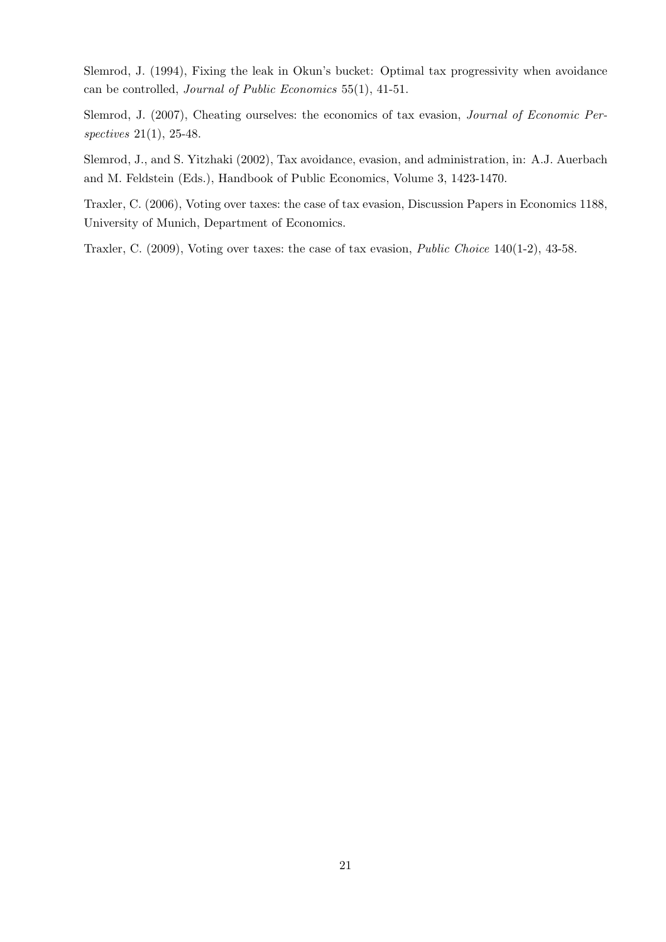Slemrod, J. (1994), Fixing the leak in Okun's bucket: Optimal tax progressivity when avoidance can be controlled, Journal of Public Economics 55(1), 41-51.

Slemrod, J. (2007), Cheating ourselves: the economics of tax evasion, Journal of Economic Perspectives 21(1), 25-48.

Slemrod, J., and S. Yitzhaki (2002), Tax avoidance, evasion, and administration, in: A.J. Auerbach and M. Feldstein (Eds.), Handbook of Public Economics, Volume 3, 1423-1470.

Traxler, C. (2006), Voting over taxes: the case of tax evasion, Discussion Papers in Economics 1188, University of Munich, Department of Economics.

Traxler, C. (2009), Voting over taxes: the case of tax evasion, Public Choice 140(1-2), 43-58.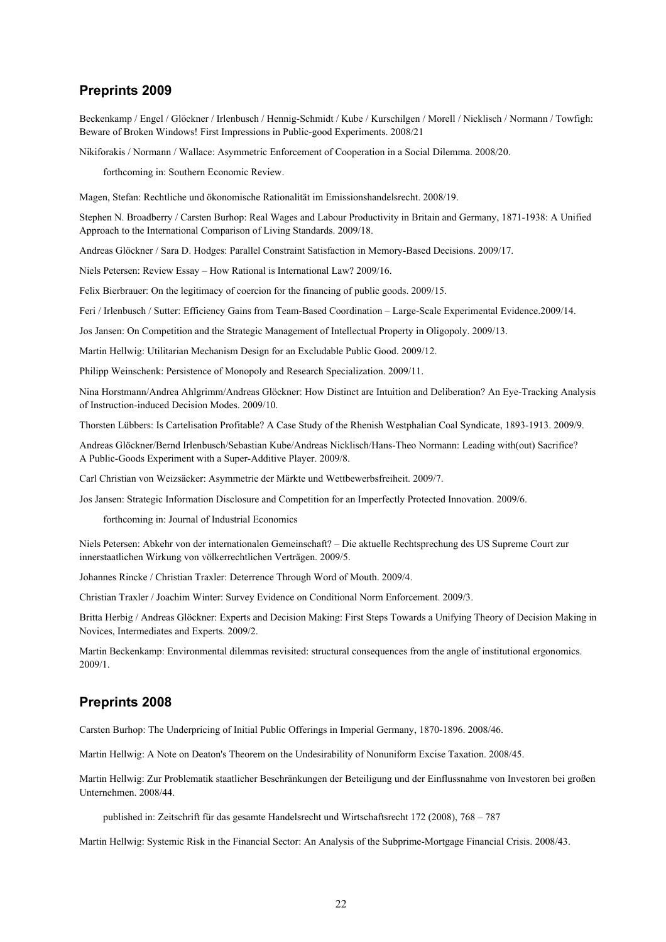## **Preprints 2009**

Beckenkamp / Engel / Glöckner / Irlenbusch / Hennig-Schmidt / Kube / Kurschilgen / Morell / Nicklisch / Normann / Towfigh: Beware of Broken Windows! First Impressions in Public-good Experiments. 2008/21

Nikiforakis / Normann / Wallace: Asymmetric Enforcement of Cooperation in a Social Dilemma. 2008/20.

forthcoming in: Southern Economic Review.

Magen, Stefan: Rechtliche und ökonomische Rationalität im Emissionshandelsrecht. 2008/19.

Stephen N. Broadberry / Carsten Burhop: Real Wages and Labour Productivity in Britain and Germany, 1871-1938: A Unified Approach to the International Comparison of Living Standards. 2009/18.

Andreas Glöckner / Sara D. Hodges: Parallel Constraint Satisfaction in Memory-Based Decisions. 2009/17.

Niels Petersen: Review Essay – How Rational is International Law? 2009/16.

Felix Bierbrauer: On the legitimacy of coercion for the financing of public goods. 2009/15.

Feri / Irlenbusch / Sutter: Efficiency Gains from Team-Based Coordination – Large-Scale Experimental Evidence.2009/14.

Jos Jansen: On Competition and the Strategic Management of Intellectual Property in Oligopoly. 2009/13.

Martin Hellwig: Utilitarian Mechanism Design for an Excludable Public Good. 2009/12.

Philipp Weinschenk: Persistence of Monopoly and Research Specialization. 2009/11.

Nina Horstmann/Andrea Ahlgrimm/Andreas Glöckner: How Distinct are Intuition and Deliberation? An Eye-Tracking Analysis of Instruction-induced Decision Modes. 2009/10.

Thorsten Lübbers: Is Cartelisation Profitable? A Case Study of the Rhenish Westphalian Coal Syndicate, 1893-1913. 2009/9.

Andreas Glöckner/Bernd Irlenbusch/Sebastian Kube/Andreas Nicklisch/Hans-Theo Normann: Leading with(out) Sacrifice? A Public-Goods Experiment with a Super-Additive Player. 2009/8.

Carl Christian von Weizsäcker: Asymmetrie der Märkte und Wettbewerbsfreiheit. 2009/7.

Jos Jansen: Strategic Information Disclosure and Competition for an Imperfectly Protected Innovation. 2009/6.

forthcoming in: Journal of Industrial Economics

Niels Petersen: Abkehr von der internationalen Gemeinschaft? – Die aktuelle Rechtsprechung des US Supreme Court zur innerstaatlichen Wirkung von völkerrechtlichen Verträgen. 2009/5.

Johannes Rincke / Christian Traxler: Deterrence Through Word of Mouth. 2009/4.

Christian Traxler / Joachim Winter: Survey Evidence on Conditional Norm Enforcement. 2009/3.

Britta Herbig / Andreas Glöckner: Experts and Decision Making: First Steps Towards a Unifying Theory of Decision Making in Novices, Intermediates and Experts. 2009/2.

Martin Beckenkamp: Environmental dilemmas revisited: structural consequences from the angle of institutional ergonomics. 2009/1.

#### **Preprints 2008**

Carsten Burhop: The Underpricing of Initial Public Offerings in Imperial Germany, 1870-1896. 2008/46.

Martin Hellwig: A Note on Deaton's Theorem on the Undesirability of Nonuniform Excise Taxation. 2008/45.

Martin Hellwig: Zur Problematik staatlicher Beschränkungen der Beteiligung und der Einflussnahme von Investoren bei großen Unternehmen. 2008/44.

published in: Zeitschrift für das gesamte Handelsrecht und Wirtschaftsrecht 172 (2008), 768 – 787

Martin Hellwig: Systemic Risk in the Financial Sector: An Analysis of the Subprime-Mortgage Financial Crisis. 2008/43.